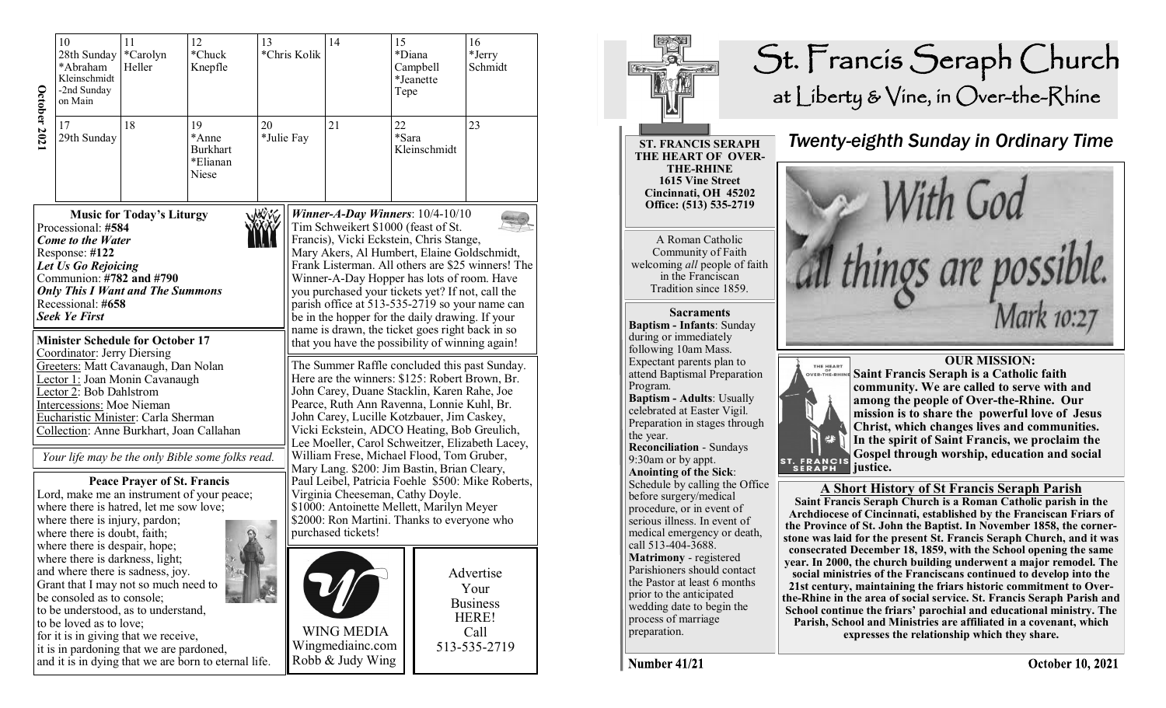|                     | 10<br>28th Sunday<br>*Abraham<br>Kleinschmidt<br>-2nd Sunday<br>on Main                                                                                                                                                                                                                                                                               | 11<br>12<br>13<br>*Carolyn<br>*Chuck<br>Knepfle<br>Heller |                                                      |            | *Chris Kolik | 14                                                                                                                                                                                                                                                                                                                                                                                                                                           | 15<br>*Diana<br>Tepe        | Campbell<br>*Jeanette | 16<br>*Jerry<br>Schmidt                                               |  |
|---------------------|-------------------------------------------------------------------------------------------------------------------------------------------------------------------------------------------------------------------------------------------------------------------------------------------------------------------------------------------------------|-----------------------------------------------------------|------------------------------------------------------|------------|--------------|----------------------------------------------------------------------------------------------------------------------------------------------------------------------------------------------------------------------------------------------------------------------------------------------------------------------------------------------------------------------------------------------------------------------------------------------|-----------------------------|-----------------------|-----------------------------------------------------------------------|--|
| <b>October 2021</b> | 17<br>29th Sunday                                                                                                                                                                                                                                                                                                                                     | 18                                                        | 19<br>*Anne<br><b>Burkhart</b><br>*Elianan<br>Niese  | 20         | *Julie Fay   | 21                                                                                                                                                                                                                                                                                                                                                                                                                                           | 22<br>*Sara<br>Kleinschmidt |                       | 23                                                                    |  |
|                     | Processional: #584<br><b>Come to the Water</b><br>Response: #122<br>Let Us Go Rejoicing<br>Communion: #782 and #790<br><b>Only This I Want and The Summons</b><br>Recessional: #658<br><b>Seek Ye First</b>                                                                                                                                           | <b>Music for Today's Liturgy</b>                          |                                                      | <b>NOW</b> |              | Winner-A-Day Winners: $10/4-10/10$<br>Tim Schweikert \$1000 (feast of St.<br>Francis), Vicki Eckstein, Chris Stange,<br>Mary Akers, Al Humbert, Elaine Goldschmidt,<br>Winner-A-Day Hopper has lots of room. Have<br>you purchased your tickets yet? If not, call the<br>parish office at 513-535-2719 so your name can<br>be in the hopper for the daily drawing. If your<br>name is drawn, the ticket goes right back in so                |                             |                       | Frank Listerman. All others are \$25 winners! The                     |  |
|                     | <b>Minister Schedule for October 17</b><br>Coordinator: Jerry Diersing<br>Greeters: Matt Cavanaugh, Dan Nolan<br>Lector 1: Joan Monin Cavanaugh<br>Lector 2: Bob Dahlstrom<br><b>Intercessions: Moe Nieman</b><br>Eucharistic Minister: Carla Sherman<br>Collection: Anne Burkhart, Joan Callahan<br>Your life may be the only Bible some folks read. |                                                           |                                                      |            |              | that you have the possibility of winning again!<br>The Summer Raffle concluded this past Sunday.<br>Here are the winners: \$125: Robert Brown, Br.<br>John Carey, Duane Stacklin, Karen Rahe, Joe<br>Pearce, Ruth Ann Ravenna, Lonnie Kuhl, Br.<br>John Carey, Lucille Kotzbauer, Jim Caskey,<br>Vicki Eckstein, ADCO Heating, Bob Greulich,<br>Lee Moeller, Carol Schweitzer, Elizabeth Lacey,<br>William Frese, Michael Flood, Tom Gruber, |                             |                       |                                                                       |  |
|                     | where there is hatred, let me sow love;<br>where there is injury, pardon;<br>where there is doubt, faith;<br>where there is despair, hope;<br>where there is darkness, light;                                                                                                                                                                         | <b>Peace Prayer of St. Francis</b>                        | Lord, make me an instrument of your peace;           |            |              | Mary Lang. \$200: Jim Bastin, Brian Cleary,<br>Virginia Cheeseman, Cathy Doyle.<br>\$1000: Antoinette Mellett, Marilyn Meyer<br>\$2000: Ron Martini. Thanks to everyone who<br>purchased tickets!                                                                                                                                                                                                                                            |                             |                       | Paul Leibel, Patricia Foehle \$500: Mike Roberts,                     |  |
|                     | and where there is sadness, joy.<br>Grant that I may not so much need to<br>be consoled as to console;<br>to be understood, as to understand,<br>to be loved as to love;<br>for it is in giving that we receive,<br>it is in pardoning that we are pardoned,                                                                                          |                                                           | and it is in dying that we are born to eternal life. |            |              | <b>WING MEDIA</b><br>Wingmediainc.com<br>Robb & Judy Wing                                                                                                                                                                                                                                                                                                                                                                                    |                             |                       | Advertise<br>Your<br><b>Business</b><br>HERE!<br>Call<br>513-535-2719 |  |